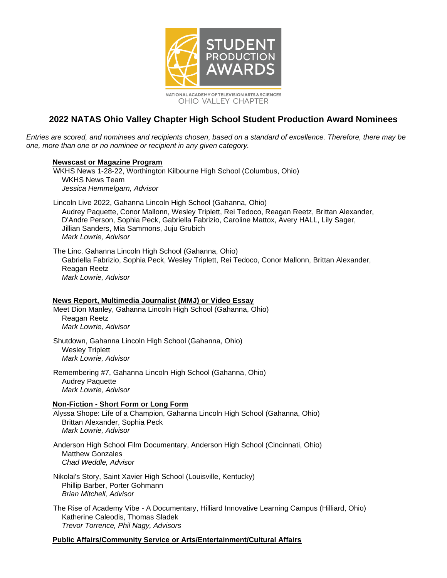

# **2022 NATAS Ohio Valley Chapter High School Student Production Award Nominees**

*Entries are scored, and nominees and recipients chosen, based on a standard of excellence. Therefore, there may be one, more than one or no nominee or recipient in any given category.*

#### **Newscast or Magazine Program**

WKHS News 1-28-22, Worthington Kilbourne High School (Columbus, Ohio) WKHS News Team *Jessica Hemmelgarn, Advisor*

Lincoln Live 2022, Gahanna Lincoln High School (Gahanna, Ohio) Audrey Paquette, Conor Mallonn, Wesley Triplett, Rei Tedoco, Reagan Reetz, Brittan Alexander, D'Andre Person, Sophia Peck, Gabriella Fabrizio, Caroline Mattox, Avery HALL, Lily Sager, Jillian Sanders, Mia Sammons, Juju Grubich *Mark Lowrie, Advisor*

The Linc, Gahanna Lincoln High School (Gahanna, Ohio) Gabriella Fabrizio, Sophia Peck, Wesley Triplett, Rei Tedoco, Conor Mallonn, Brittan Alexander, Reagan Reetz *Mark Lowrie, Advisor*

#### **News Report, Multimedia Journalist (MMJ) or Video Essay**

Meet Dion Manley, Gahanna Lincoln High School (Gahanna, Ohio) Reagan Reetz *Mark Lowrie, Advisor*

Shutdown, Gahanna Lincoln High School (Gahanna, Ohio) Wesley Triplett *Mark Lowrie, Advisor*

Remembering #7, Gahanna Lincoln High School (Gahanna, Ohio) Audrey Paquette *Mark Lowrie, Advisor*

### **Non-Fiction - Short Form or Long Form**

Alyssa Shope: Life of a Champion, Gahanna Lincoln High School (Gahanna, Ohio) Brittan Alexander, Sophia Peck *Mark Lowrie, Advisor*

Anderson High School Film Documentary, Anderson High School (Cincinnati, Ohio) Matthew Gonzales *Chad Weddle, Advisor*

Nikolai's Story, Saint Xavier High School (Louisville, Kentucky) Phillip Barber, Porter Gohmann *Brian Mitchell, Advisor*

The Rise of Academy Vibe - A Documentary, Hilliard Innovative Learning Campus (Hilliard, Ohio) Katherine Caleodis, Thomas Sladek *Trevor Torrence, Phil Nagy, Advisors*

### **Public Affairs/Community Service or Arts/Entertainment/Cultural Affairs**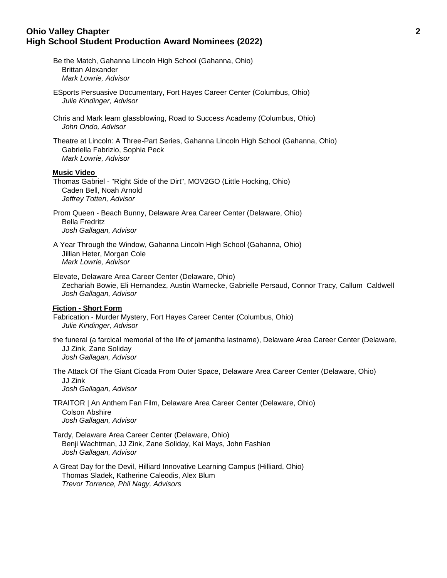### **Ohio Valley Chapter 2 High School Student Production Award Nominees (2022)**

- Be the Match, Gahanna Lincoln High School (Gahanna, Ohio) Brittan Alexander *Mark Lowrie, Advisor*
- ESports Persuasive Documentary, Fort Hayes Career Center (Columbus, Ohio) *Julie Kindinger, Advisor*
- Chris and Mark learn glassblowing, Road to Success Academy (Columbus, Ohio) *John Ondo, Advisor*
- Theatre at Lincoln: A Three-Part Series, Gahanna Lincoln High School (Gahanna, Ohio) Gabriella Fabrizio, Sophia Peck *Mark Lowrie, Advisor*

#### **Music Video**

- Thomas Gabriel "Right Side of the Dirt", MOV2GO (Little Hocking, Ohio) Caden Bell, Noah Arnold *Jeffrey Totten, Advisor*
- Prom Queen Beach Bunny, Delaware Area Career Center (Delaware, Ohio) Bella Fredritz *Josh Gallagan, Advisor*
- A Year Through the Window, Gahanna Lincoln High School (Gahanna, Ohio) Jillian Heter, Morgan Cole *Mark Lowrie, Advisor*
- Elevate, Delaware Area Career Center (Delaware, Ohio) Zechariah Bowie, Eli Hernandez, Austin Warnecke, Gabrielle Persaud, Connor Tracy, Callum Caldwell *Josh Gallagan, Advisor*

#### **Fiction - Short Form**

- Fabrication Murder Mystery, Fort Hayes Career Center (Columbus, Ohio) *Julie Kindinger, Advisor*
- the funeral (a farcical memorial of the life of jamantha lastname), Delaware Area Career Center (Delaware, JJ Zink, Zane Soliday *Josh Gallagan, Advisor*
- The Attack Of The Giant Cicada From Outer Space, Delaware Area Career Center (Delaware, Ohio) JJ Zink *Josh Gallagan, Advisor*
- TRAITOR | An Anthem Fan Film, Delaware Area Career Center (Delaware, Ohio) Colson Abshire *Josh Gallagan, Advisor*
- Tardy, Delaware Area Career Center (Delaware, Ohio) Benji Wachtman, JJ Zink, Zane Soliday, Kai Mays, John Fashian *Josh Gallagan, Advisor*
- A Great Day for the Devil, Hilliard Innovative Learning Campus (Hilliard, Ohio) Thomas Sladek, Katherine Caleodis, Alex Blum *Trevor Torrence, Phil Nagy, Advisors*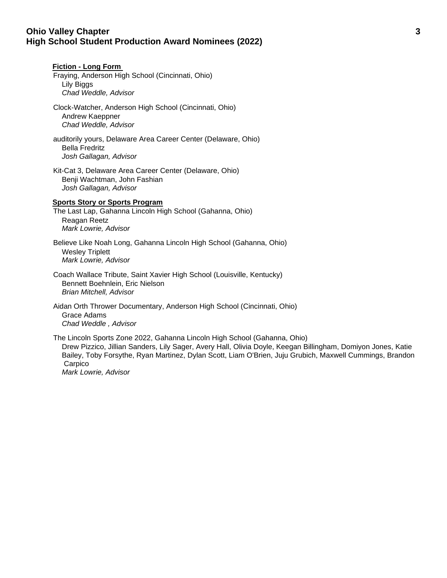## **Ohio Valley Chapter 3 High School Student Production Award Nominees (2022)**

**Fiction - Long Form** 

# Fraying, Anderson High School (Cincinnati, Ohio) Lily Biggs *Chad Weddle, Advisor* Clock-Watcher, Anderson High School (Cincinnati, Ohio) Andrew Kaeppner *Chad Weddle, Advisor* auditorily yours, Delaware Area Career Center (Delaware, Ohio) Bella Fredritz *Josh Gallagan, Advisor* Kit-Cat 3, Delaware Area Career Center (Delaware, Ohio) Benji Wachtman, John Fashian *Josh Gallagan, Advisor* **Sports Story or Sports Program** The Last Lap, Gahanna Lincoln High School (Gahanna, Ohio) Reagan Reetz *Mark Lowrie, Advisor* Believe Like Noah Long, Gahanna Lincoln High School (Gahanna, Ohio) Wesley Triplett *Mark Lowrie, Advisor*

Coach Wallace Tribute, Saint Xavier High School (Louisville, Kentucky) Bennett Boehnlein, Eric Nielson *Brian Mitchell, Advisor*

Aidan Orth Thrower Documentary, Anderson High School (Cincinnati, Ohio) Grace Adams *Chad Weddle , Advisor*

The Lincoln Sports Zone 2022, Gahanna Lincoln High School (Gahanna, Ohio) Drew Pizzico, Jillian Sanders, Lily Sager, Avery Hall, Olivia Doyle, Keegan Billingham, Domiyon Jones, Katie Bailey, Toby Forsythe, Ryan Martinez, Dylan Scott, Liam O'Brien, Juju Grubich, Maxwell Cummings, Brandon Carpico *Mark Lowrie, Advisor*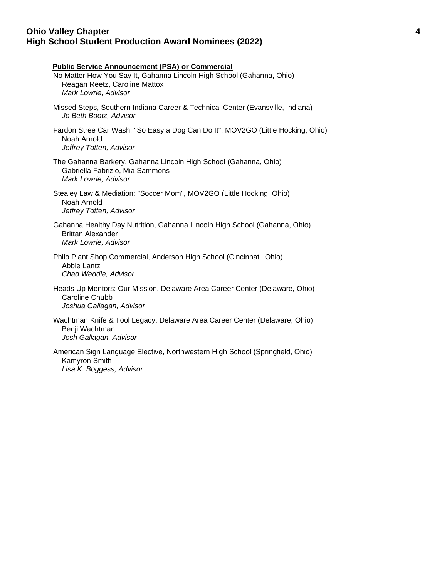## **Ohio Valley Chapter 4 High School Student Production Award Nominees (2022)**

| <b>Public Service Announcement (PSA) or Commercial</b><br>No Matter How You Say It, Gahanna Lincoln High School (Gahanna, Ohio)<br>Reagan Reetz, Caroline Mattox<br>Mark Lowrie, Advisor |
|------------------------------------------------------------------------------------------------------------------------------------------------------------------------------------------|
| Missed Steps, Southern Indiana Career & Technical Center (Evansville, Indiana)<br>Jo Beth Bootz, Advisor                                                                                 |
| Fardon Stree Car Wash: "So Easy a Dog Can Do It", MOV2GO (Little Hocking, Ohio)<br>Noah Arnold<br>Jeffrey Totten, Advisor                                                                |
| The Gahanna Barkery, Gahanna Lincoln High School (Gahanna, Ohio)<br>Gabriella Fabrizio, Mia Sammons<br>Mark Lowrie, Advisor                                                              |
| Stealey Law & Mediation: "Soccer Mom", MOV2GO (Little Hocking, Ohio)<br>Noah Arnold<br>Jeffrey Totten, Advisor                                                                           |
| Gahanna Healthy Day Nutrition, Gahanna Lincoln High School (Gahanna, Ohio)<br><b>Brittan Alexander</b><br>Mark Lowrie, Advisor                                                           |
| Philo Plant Shop Commercial, Anderson High School (Cincinnati, Ohio)<br>Abbie Lantz<br>Chad Weddle, Advisor                                                                              |
| Heads Up Mentors: Our Mission, Delaware Area Career Center (Delaware, Ohio)<br>Caroline Chubb<br>Joshua Gallagan, Advisor                                                                |
| Wachtman Knife & Tool Legacy, Delaware Area Career Center (Delaware, Ohio)<br>Benji Wachtman<br>Josh Gallagan, Advisor                                                                   |
| American Sign Language Elective, Northwestern High School (Springfield, Ohio)<br>Kamyron Smith<br>Lisa K. Boggess, Advisor                                                               |
|                                                                                                                                                                                          |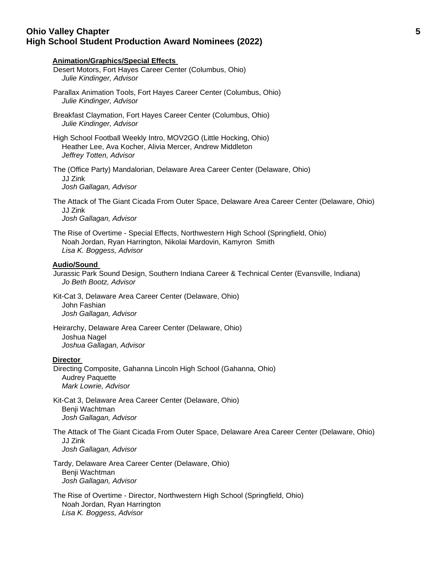## **Ohio Valley Chapter 5 High School Student Production Award Nominees (2022)**

# **Animation/Graphics/Special Effects**  Desert Motors, Fort Hayes Career Center (Columbus, Ohio) *Julie Kindinger, Advisor* Parallax Animation Tools, Fort Hayes Career Center (Columbus, Ohio) *Julie Kindinger, Advisor* Breakfast Claymation, Fort Hayes Career Center (Columbus, Ohio) *Julie Kindinger, Advisor* High School Football Weekly Intro, MOV2GO (Little Hocking, Ohio) Heather Lee, Ava Kocher, Alivia Mercer, Andrew Middleton *Jeffrey Totten, Advisor* The (Office Party) Mandalorian, Delaware Area Career Center (Delaware, Ohio) JJ Zink *Josh Gallagan, Advisor* The Attack of The Giant Cicada From Outer Space, Delaware Area Career Center (Delaware, Ohio) JJ Zink *Josh Gallagan, Advisor* The Rise of Overtime - Special Effects, Northwestern High School (Springfield, Ohio) Noah Jordan, Ryan Harrington, Nikolai Mardovin, Kamyron Smith *Lisa K. Boggess, Advisor* **Audio/Sound**  Jurassic Park Sound Design, Southern Indiana Career & Technical Center (Evansville, Indiana) *Jo Beth Bootz, Advisor* Kit-Cat 3, Delaware Area Career Center (Delaware, Ohio) John Fashian *Josh Gallagan, Advisor* Heirarchy, Delaware Area Career Center (Delaware, Ohio) Joshua Nagel *Joshua Gallagan, Advisor* **Director**  Directing Composite, Gahanna Lincoln High School (Gahanna, Ohio) Audrey Paquette *Mark Lowrie, Advisor* Kit-Cat 3, Delaware Area Career Center (Delaware, Ohio) Benji Wachtman *Josh Gallagan, Advisor* The Attack of The Giant Cicada From Outer Space, Delaware Area Career Center (Delaware, Ohio) JJ Zink *Josh Gallagan, Advisor* Tardy, Delaware Area Career Center (Delaware, Ohio) Benji Wachtman *Josh Gallagan, Advisor*

The Rise of Overtime - Director, Northwestern High School (Springfield, Ohio) Noah Jordan, Ryan Harrington *Lisa K. Boggess, Advisor*